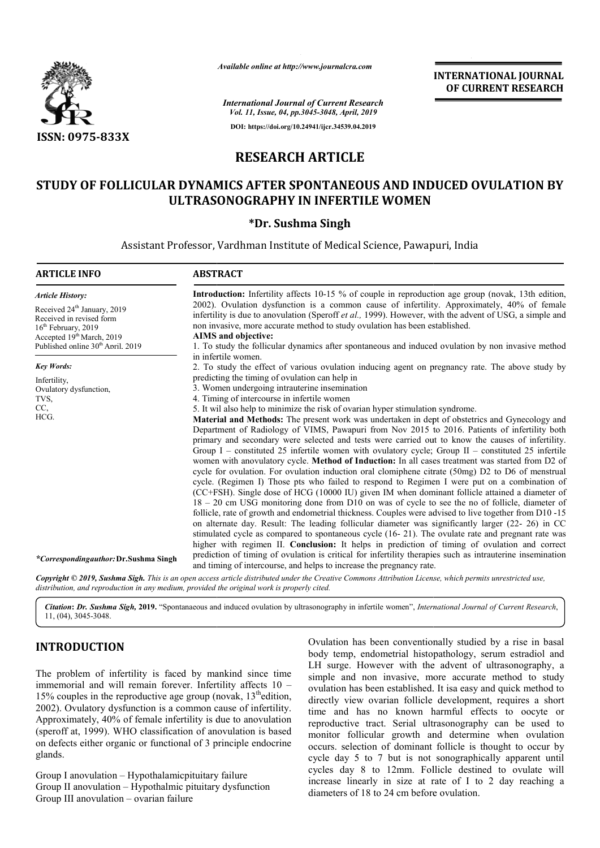

*Available online at http://www.journalcra.com*

# **RESEARCH ARTICLE**

## **STUDY OF FOLLICULAR DYNAMICS AFTER SPONTANEOUS AND INDUCED OVULATION BY ULTRASONOGRAPHY IN INFERTILE WOMEN**

## **\*Dr. Sushma Singh**

|                                                                                                                                                                                                                                                                                                                                                                                                                                                                                                                                                                                                                                                                                              | лтанион опине интирулттуриниисписот                                                                                                                                   | <b>INTERNATIONAL JOURNAL</b><br>OF CURRENT RESEARCH                                                                                                                                                                                                                                                                                                                                                                                                                                                                                                                                                                                                                                                                                                                                                                                                                                                                                                                                                                                                                                                                                                                                                                                                                                                                                                                                                                                                                                                                                                                                                                                                                                                                                                                                                                                                                                                                                                                                                                                                  |
|----------------------------------------------------------------------------------------------------------------------------------------------------------------------------------------------------------------------------------------------------------------------------------------------------------------------------------------------------------------------------------------------------------------------------------------------------------------------------------------------------------------------------------------------------------------------------------------------------------------------------------------------------------------------------------------------|-----------------------------------------------------------------------------------------------------------------------------------------------------------------------|------------------------------------------------------------------------------------------------------------------------------------------------------------------------------------------------------------------------------------------------------------------------------------------------------------------------------------------------------------------------------------------------------------------------------------------------------------------------------------------------------------------------------------------------------------------------------------------------------------------------------------------------------------------------------------------------------------------------------------------------------------------------------------------------------------------------------------------------------------------------------------------------------------------------------------------------------------------------------------------------------------------------------------------------------------------------------------------------------------------------------------------------------------------------------------------------------------------------------------------------------------------------------------------------------------------------------------------------------------------------------------------------------------------------------------------------------------------------------------------------------------------------------------------------------------------------------------------------------------------------------------------------------------------------------------------------------------------------------------------------------------------------------------------------------------------------------------------------------------------------------------------------------------------------------------------------------------------------------------------------------------------------------------------------------|
|                                                                                                                                                                                                                                                                                                                                                                                                                                                                                                                                                                                                                                                                                              |                                                                                                                                                                       | <b>International Journal of Current Research</b><br>Vol. 11, Issue, 04, pp.3045-3048, April, 2019                                                                                                                                                                                                                                                                                                                                                                                                                                                                                                                                                                                                                                                                                                                                                                                                                                                                                                                                                                                                                                                                                                                                                                                                                                                                                                                                                                                                                                                                                                                                                                                                                                                                                                                                                                                                                                                                                                                                                    |
|                                                                                                                                                                                                                                                                                                                                                                                                                                                                                                                                                                                                                                                                                              |                                                                                                                                                                       | DOI: https://doi.org/10.24941/ijcr.34539.04.2019                                                                                                                                                                                                                                                                                                                                                                                                                                                                                                                                                                                                                                                                                                                                                                                                                                                                                                                                                                                                                                                                                                                                                                                                                                                                                                                                                                                                                                                                                                                                                                                                                                                                                                                                                                                                                                                                                                                                                                                                     |
| ISSN: 0975-833X                                                                                                                                                                                                                                                                                                                                                                                                                                                                                                                                                                                                                                                                              |                                                                                                                                                                       |                                                                                                                                                                                                                                                                                                                                                                                                                                                                                                                                                                                                                                                                                                                                                                                                                                                                                                                                                                                                                                                                                                                                                                                                                                                                                                                                                                                                                                                                                                                                                                                                                                                                                                                                                                                                                                                                                                                                                                                                                                                      |
|                                                                                                                                                                                                                                                                                                                                                                                                                                                                                                                                                                                                                                                                                              | <b>RESEARCH ARTICLE</b>                                                                                                                                               |                                                                                                                                                                                                                                                                                                                                                                                                                                                                                                                                                                                                                                                                                                                                                                                                                                                                                                                                                                                                                                                                                                                                                                                                                                                                                                                                                                                                                                                                                                                                                                                                                                                                                                                                                                                                                                                                                                                                                                                                                                                      |
|                                                                                                                                                                                                                                                                                                                                                                                                                                                                                                                                                                                                                                                                                              |                                                                                                                                                                       | STUDY OF FOLLICULAR DYNAMICS AFTER SPONTANEOUS AND INDUCED OVULATION BY<br>ULTRASONOGRAPHY IN INFERTILE WOMEN                                                                                                                                                                                                                                                                                                                                                                                                                                                                                                                                                                                                                                                                                                                                                                                                                                                                                                                                                                                                                                                                                                                                                                                                                                                                                                                                                                                                                                                                                                                                                                                                                                                                                                                                                                                                                                                                                                                                        |
|                                                                                                                                                                                                                                                                                                                                                                                                                                                                                                                                                                                                                                                                                              | *Dr. Sushma Singh                                                                                                                                                     |                                                                                                                                                                                                                                                                                                                                                                                                                                                                                                                                                                                                                                                                                                                                                                                                                                                                                                                                                                                                                                                                                                                                                                                                                                                                                                                                                                                                                                                                                                                                                                                                                                                                                                                                                                                                                                                                                                                                                                                                                                                      |
|                                                                                                                                                                                                                                                                                                                                                                                                                                                                                                                                                                                                                                                                                              |                                                                                                                                                                       | Assistant Professor, Vardhman Institute of Medical Science, Pawapuri, India                                                                                                                                                                                                                                                                                                                                                                                                                                                                                                                                                                                                                                                                                                                                                                                                                                                                                                                                                                                                                                                                                                                                                                                                                                                                                                                                                                                                                                                                                                                                                                                                                                                                                                                                                                                                                                                                                                                                                                          |
| <b>ARTICLE INFO</b>                                                                                                                                                                                                                                                                                                                                                                                                                                                                                                                                                                                                                                                                          | <b>ABSTRACT</b>                                                                                                                                                       |                                                                                                                                                                                                                                                                                                                                                                                                                                                                                                                                                                                                                                                                                                                                                                                                                                                                                                                                                                                                                                                                                                                                                                                                                                                                                                                                                                                                                                                                                                                                                                                                                                                                                                                                                                                                                                                                                                                                                                                                                                                      |
| <b>Article History:</b><br>Received 24 <sup>th</sup> January, 2019<br>Received in revised form<br>16 <sup>th</sup> February, 2019<br>Accepted 19th March, 2019<br>Published online 30 <sup>th</sup> Anril. 2019                                                                                                                                                                                                                                                                                                                                                                                                                                                                              | AIMS and objective:                                                                                                                                                   | Introduction: Infertility affects 10-15 % of couple in reproduction age group (novak, 13th edition,<br>2002). Ovulation dysfunction is a common cause of infertility. Approximately, 40% of female<br>infertility is due to anovulation (Speroff et al., 1999). However, with the advent of USG, a simple and<br>non invasive, more accurate method to study ovulation has been established.<br>1. To study the follicular dynamics after spontaneous and induced ovulation by non invasive method                                                                                                                                                                                                                                                                                                                                                                                                                                                                                                                                                                                                                                                                                                                                                                                                                                                                                                                                                                                                                                                                                                                                                                                                                                                                                                                                                                                                                                                                                                                                                   |
| <b>Key Words:</b><br>Infertility,<br>Ovulatory dysfunction,<br>TVS,<br>CC,<br>HCG.<br>*Correspondingauthor: Dr.Sushma Singh<br>distribution, and reproduction in any medium, provided the original work is properly cited.                                                                                                                                                                                                                                                                                                                                                                                                                                                                   | in infertile women.<br>predicting the timing of ovulation can help in<br>3. Women undergoing intrauterine insemination<br>4. Timing of intercourse in infertile women | 2. To study the effect of various ovulation inducing agent on pregnancy rate. The above study by<br>5. It wil also help to minimize the risk of ovarian hyper stimulation syndrome.<br>Material and Methods: The present work was undertaken in dept of obstetrics and Gynecology and<br>Department of Radiology of VIMS, Pawapuri from Nov 2015 to 2016. Patients of infertility both<br>primary and secondary were selected and tests were carried out to know the causes of infertility.<br>Group $I$ – constituted 25 infertile women with ovulatory cycle; Group $II$ – constituted 25 infertile<br>women with anovulatory cycle. Method of Induction: In all cases treatment was started from D2 of<br>cycle for ovulation. For ovulation induction oral clomiphene citrate (50mg) D2 to D6 of menstrual<br>cycle. (Regimen I) Those pts who failed to respond to Regimen I were put on a combination of<br>(CC+FSH). Single dose of HCG (10000 IU) given IM when dominant follicle attained a diameter of<br>18 - 20 cm USG monitoring done from D10 on was of cycle to see the no of follicle, diameter of<br>follicle, rate of growth and endometrial thickness. Couples were advised to live together from D10 -15<br>on alternate day. Result: The leading follicular diameter was significantly larger (22- 26) in CC<br>stimulated cycle as compared to spontaneous cycle (16-21). The ovulate rate and pregnant rate was<br>higher with regimen II. Conclusion: It helps in prediction of timing of ovulation and correct<br>prediction of timing of ovulation is critical for infertility therapies such as intrauterine insemination<br>and timing of intercourse, and helps to increase the pregnancy rate.<br>Copyright © 2019, Sushma Sigh. This is an open access article distributed under the Creative Commons Attribution License, which permits unrestricted use,<br>Citation: Dr. Sushma Sigh, 2019. "Spontanaeous and induced ovulation by ultrasonography in infertile women", International Journal of Current Research, |
| $11, (04), 3045-3048.$                                                                                                                                                                                                                                                                                                                                                                                                                                                                                                                                                                                                                                                                       |                                                                                                                                                                       | Ovulation has been conventionally studied by a rise in basal                                                                                                                                                                                                                                                                                                                                                                                                                                                                                                                                                                                                                                                                                                                                                                                                                                                                                                                                                                                                                                                                                                                                                                                                                                                                                                                                                                                                                                                                                                                                                                                                                                                                                                                                                                                                                                                                                                                                                                                         |
| <b>INTRODUCTION</b><br>The problem of infertility is faced by mankind since time<br>immemorial and will remain forever. Infertility affects 10 -<br>15% couples in the reproductive age group (novak, $13^{\text{th}}$ edition,<br>2002). Ovulatory dysfunction is a common cause of infertility.<br>Approximately, 40% of female infertility is due to anovulation<br>(speroff at, 1999). WHO classification of anovulation is based<br>on defects either organic or functional of 3 principle endocrine<br>glands.<br>Group I anovulation - Hypothalamicpituitary failure<br>Group II anovulation - Hypothalmic pituitary dysfunction<br>$C_{\text{conv}}$ III enceptation averian foilure |                                                                                                                                                                       | body temp, endometrial histopathology, serum estradiol and<br>LH surge. However with the advent of ultrasonography, a<br>simple and non invasive, more accurate method to study<br>ovulation has been established. It is a easy and quick method to<br>directly view ovarian follicle development, requires a short<br>time and has no known harmful effects to oocyte or<br>reproductive tract. Serial ultrasonography can be used to<br>monitor follicular growth and determine when ovulation<br>occurs. selection of dominant follicle is thought to occur by<br>cycle day 5 to 7 but is not sonographically apparent until<br>cycles day 8 to 12mm. Follicle destined to ovulate will<br>increase linearly in size at rate of I to 2 day reaching a<br>diameters of 18 to 24 cm before ovulation.                                                                                                                                                                                                                                                                                                                                                                                                                                                                                                                                                                                                                                                                                                                                                                                                                                                                                                                                                                                                                                                                                                                                                                                                                                               |

## **INTRODUCTION**

Group I anovulation – Hypothalamicpituitary failure Group II anovulation – Hypothalmic pituitary dysfunction Group III anovulation – ovarian failure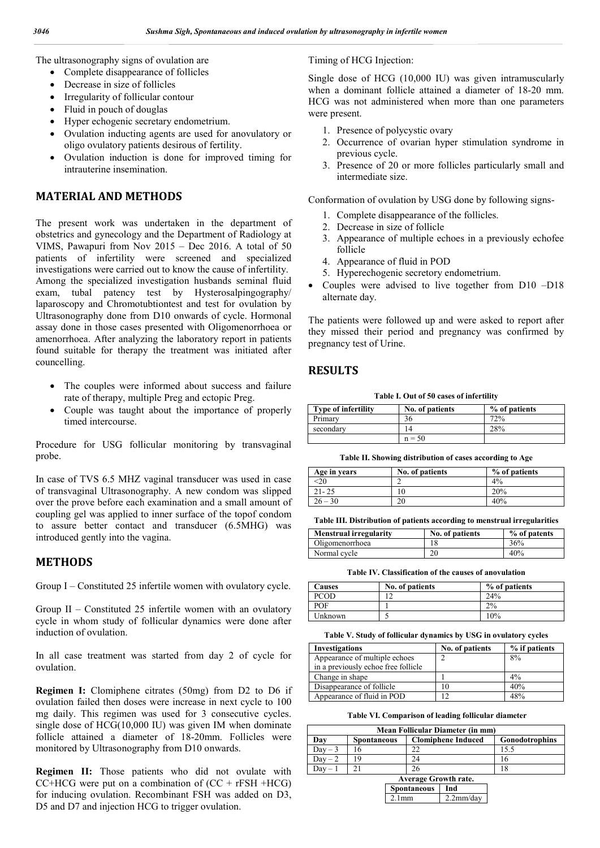The ultrasonography signs of ovulation are

- Complete disappearance of follicles
- Decrease in size of follicles
- Irregularity of follicular contour
- Fluid in pouch of douglas
- Hyper echogenic secretary endometrium.
- Ovulation inducting agents are used for anovulatory or oligo ovulatory patients desirous of fertility.
- Ovulation induction is done for improved timing for intrauterine insemination.

## **MATERIAL AND METHODS**

The present work was undertaken in the department of obstetrics and gynecology and the Department of Radiology at VIMS, Pawapuri from Nov 2015 – Dec 2016. A total of 50 patients of infertility were screened and specialized investigations were carried out to know the cause of infertility. Among the specialized investigation husbands seminal fluid exam, tubal patency test by Hysterosalpingography/ laparoscopy and Chromotubtiontest and test for ovulation by Ultrasonography done from D10 onwards of cycle. Hormonal assay done in those cases presented with Oligomenorrhoea or amenorrhoea. After analyzing the laboratory report in patients found suitable for therapy the treatment was initiated after councelling.

- The couples were informed about success and failure rate of therapy, multiple Preg and ectopic Preg.
- Couple was taught about the importance of properly timed intercourse.

Procedure for USG follicular monitoring by transvaginal probe.

In case of TVS 6.5 MHZ vaginal transducer was used in case of transvaginal Ultrasonography. A new condom was slipped over the prove before each examination and a small amount of coupling gel was applied to inner surface of the topof condom to assure better contact and transducer (6.5MHG) was introduced gently into the vagina.

## **METHODS**

Group I – Constituted 25 infertile women with ovulatory cycle.

Group II – Constituted 25 infertile women with an ovulatory cycle in whom study of follicular dynamics were done after induction of ovulation.

In all case treatment was started from day 2 of cycle for ovulation.

**Regimen I:** Clomiphene citrates (50mg) from D2 to D6 if ovulation failed then doses were increase in next cycle to 100 mg daily. This regimen was used for 3 consecutive cycles. single dose of HCG(10,000 IU) was given IM when dominate follicle attained a diameter of 18-20mm. Follicles were monitored by Ultrasonography from D10 onwards.

**Regimen II:** Those patients who did not ovulate with  $CC+HCG$  were put on a combination of  $(CC + rFSH + HCG)$ for inducing ovulation. Recombinant FSH was added on D3, D5 and D7 and injection HCG to trigger ovulation.

#### Timing of HCG Injection:

Single dose of HCG (10,000 IU) was given intramuscularly when a dominant follicle attained a diameter of 18-20 mm. HCG was not administered when more than one parameters were present.

- 1. Presence of polycystic ovary
- 2. Occurrence of ovarian hyper stimulation syndrome in previous cycle.
- 3. Presence of 20 or more follicles particularly small and intermediate size.

Conformation of ovulation by USG done by following signs-

- 1. Complete disappearance of the follicles.
- 2. Decrease in size of follicle
- 3. Appearance of multiple echoes in a previously echofee follicle
- 4. Appearance of fluid in POD
- 5. Hyperechogenic secretory endometrium.
- Couples were advised to live together from D10 –D18 alternate day.

The patients were followed up and were asked to report after they missed their period and pregnancy was confirmed by pregnancy test of Urine.

## **RESULTS**

**Table I. Out of 50 cases of infertility**

| <b>Type of infertility</b> | No. of patients | % of patients |
|----------------------------|-----------------|---------------|
| Primary                    | 36              | 72%           |
| secondary                  |                 | 28%           |
|                            | $n = 50$        |               |

**Table II. Showing distribution of cases according to Age**

| Age in years | No. of patients | % of patients |
|--------------|-----------------|---------------|
|              |                 | $4\%$         |
| $21 - 25$    | ۱0              | 20%           |
| $26 - 30$    | 20              | 40%           |

**Table III. Distribution of patients according to menstrual irregularities**

| <b>Menstrual irregularity</b> | No. of patients | % of patents |
|-------------------------------|-----------------|--------------|
| Oligomenorrhoea               | 18              | 36%          |
| Normal cycle                  | 20              | 40%          |

**Table IV. Classification of the causes of anovulation**

| <b>Causes</b> | No. of patients | % of patients |
|---------------|-----------------|---------------|
| <b>PCOD</b>   |                 | 24%           |
| <b>POF</b>    |                 | 2%            |
| Unknown       |                 | 10%           |

**Table V. Study of follicular dynamics by USG in ovulatory cycles**

| <b>Investigations</b>               | No. of patients | % if patients |
|-------------------------------------|-----------------|---------------|
| Appearance of multiple echoes       |                 | 8%            |
| in a previously echoe free follicle |                 |               |
| Change in shape                     |                 | 4%            |
| Disappearance of follicle           | 10              | 40%           |
| Appearance of fluid in POD          | ר ו             | 48%           |

**Table VI. Comparison of leading follicular diameter**

| Mean Follicular Diameter (in mm)                                                |  |    |  |  |
|---------------------------------------------------------------------------------|--|----|--|--|
| <b>Clomiphene Induced</b><br><b>Gonodotrophins</b><br>Dav<br><b>Spontaneous</b> |  |    |  |  |
| Dav – 3                                                                         |  |    |  |  |
| Dav – 2                                                                         |  | 24 |  |  |
| $\alpha$                                                                        |  | 26 |  |  |

| <b>Average Growth rate.</b> |              |  |  |
|-----------------------------|--------------|--|--|
| Spontaneous   Ind           |              |  |  |
| $2.1$ mm                    | $2.2$ mm/day |  |  |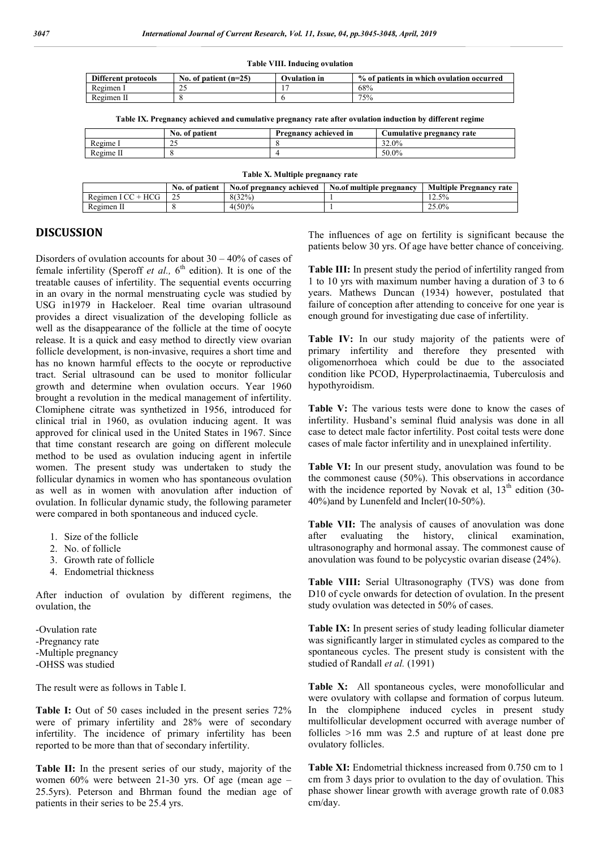**Table VIII. Inducing ovulation**

| <b>Different protocols</b> | No. of patient $(n=25)$ | Ovulation in | % of patients in which ovulation occurred |
|----------------------------|-------------------------|--------------|-------------------------------------------|
| Regimen 1                  | <u>~</u>                |              | 68%                                       |
| Regimen II                 |                         |              | 75%                                       |

**Table IX. Pregnancy achieved and cumulative pregnancy rate after ovulation induction by different regime**

|           | No. of patient       | Pregnancy achieved in | <b>Cumulative pregnancy rate</b> |
|-----------|----------------------|-----------------------|----------------------------------|
| Regime I  | $\sim$ $\sim$<br>ر ب |                       | 32.0%                            |
| Regime II |                      |                       | 50.0%                            |

**Table X. Multiple pregnancy rate**

|                     | No. of patient | No.of pregnancy achieved | No.of multiple pregnancy | <b>Multiple Pregnancy rate</b> |
|---------------------|----------------|--------------------------|--------------------------|--------------------------------|
| Regimen $ICC + HCG$ |                | 8(32%)                   |                          | 12.5%                          |
| Regimen II          |                | $4(50)\%$                |                          | 25.0%                          |

## **DISCUSSION**

Disorders of ovulation accounts for about  $30 - 40\%$  of cases of female infertility (Speroff *et al.*, 6<sup>th</sup> edition). It is one of the treatable causes of infertility. The sequential events occurring in an ovary in the normal menstruating cycle was studied by USG in1979 in Hackeloer. Real time ovarian ultrasound provides a direct visualization of the developing follicle as well as the disappearance of the follicle at the time of oocyte release. It is a quick and easy method to directly view ovarian follicle development, is non-invasive, requires a short time and has no known harmful effects to the oocyte or reproductive tract. Serial ultrasound can be used to monitor follicular growth and determine when ovulation occurs. Year 1960 brought a revolution in the medical management of infertility. Clomiphene citrate was synthetized in 1956, introduced for clinical trial in 1960, as ovulation inducing agent. It was approved for clinical used in the United States in 1967. Since that time constant research are going on different molecule method to be used as ovulation inducing agent in infertile women. The present study was undertaken to study the follicular dynamics in women who has spontaneous ovulation as well as in women with anovulation after induction of ovulation. In follicular dynamic study, the following parameter were compared in both spontaneous and induced cycle.

- 1. Size of the follicle
- 2. No. of follicle
- 3. Growth rate of follicle
- 4. Endometrial thickness

After induction of ovulation by different regimens, the ovulation, the

-Ovulation rate -Pregnancy rate -Multiple pregnancy -OHSS was studied

The result were as follows in Table I.

Table I: Out of 50 cases included in the present series  $72\%$ were of primary infertility and 28% were of secondary infertility. The incidence of primary infertility has been reported to be more than that of secondary infertility.

**Table II:** In the present series of our study, majority of the women 60% were between 21-30 yrs. Of age (mean age – 25.5yrs). Peterson and Bhrman found the median age of patients in their series to be 25.4 yrs.

The influences of age on fertility is significant because the patients below 30 yrs. Of age have better chance of conceiving.

**Table III:** In present study the period of infertility ranged from 1 to 10 yrs with maximum number having a duration of 3 to 6 years. Mathews Duncan (1934) however, postulated that failure of conception after attending to conceive for one year is enough ground for investigating due case of infertility.

Table IV: In our study majority of the patients were of primary infertility and therefore they presented with oligomenorrhoea which could be due to the associated condition like PCOD, Hyperprolactinaemia, Tuberculosis and hypothyroidism.

Table V: The various tests were done to know the cases of infertility. Husband's seminal fluid analysis was done in all case to detect male factor infertility. Post coital tests were done cases of male factor infertility and in unexplained infertility.

**Table VI:** In our present study, anovulation was found to be the commonest cause (50%). This observations in accordance with the incidence reported by Novak et al,  $13<sup>th</sup>$  edition (30-40%)and by Lunenfeld and Incler(10-50%).

Table VII: The analysis of causes of anovulation was done after evaluating the history, clinical examination, ultrasonography and hormonal assay. The commonest cause of anovulation was found to be polycystic ovarian disease (24%).

**Table VIII:** Serial Ultrasonography (TVS) was done from D10 of cycle onwards for detection of ovulation. In the present study ovulation was detected in 50% of cases.

**Table IX:** In present series of study leading follicular diameter was significantly larger in stimulated cycles as compared to the spontaneous cycles. The present study is consistent with the studied of Randall *et al.* (1991)

**Table X:** All spontaneous cycles, were monofollicular and were ovulatory with collapse and formation of corpus luteum. In the clompiphene induced cycles in present study multifollicular development occurred with average number of follicles >16 mm was 2.5 and rupture of at least done pre ovulatory follicles.

Table XI: Endometrial thickness increased from 0.750 cm to 1 cm from 3 days prior to ovulation to the day of ovulation. This phase shower linear growth with average growth rate of 0.083 cm/day.